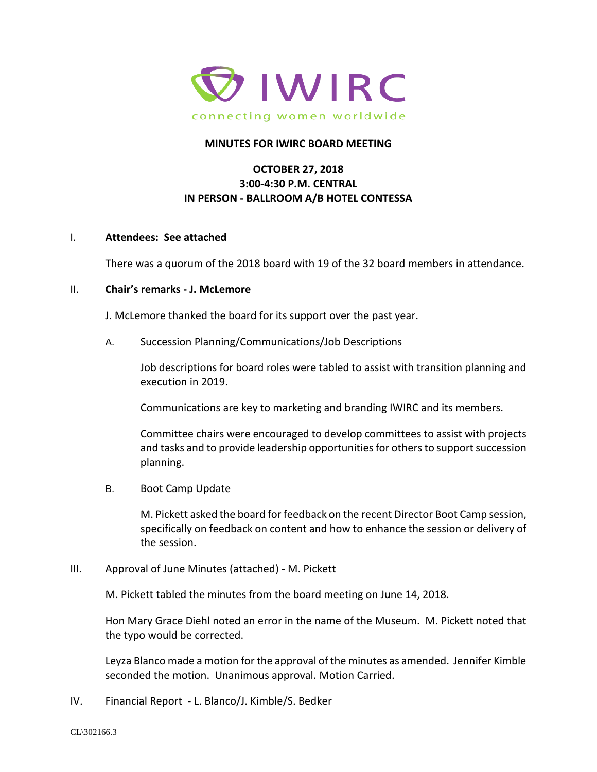

#### **MINUTES FOR IWIRC BOARD MEETING**

# **OCTOBER 27, 2018 3:00-4:30 P.M. CENTRAL IN PERSON - BALLROOM A/B HOTEL CONTESSA**

#### I. **Attendees: See attached**

There was a quorum of the 2018 board with 19 of the 32 board members in attendance.

## II. **Chair's remarks - J. McLemore**

J. McLemore thanked the board for its support over the past year.

A. Succession Planning/Communications/Job Descriptions

Job descriptions for board roles were tabled to assist with transition planning and execution in 2019.

Communications are key to marketing and branding IWIRC and its members.

Committee chairs were encouraged to develop committees to assist with projects and tasks and to provide leadership opportunities for others to support succession planning.

B. Boot Camp Update

M. Pickett asked the board for feedback on the recent Director Boot Camp session, specifically on feedback on content and how to enhance the session or delivery of the session.

III. Approval of June Minutes (attached) - M. Pickett

M. Pickett tabled the minutes from the board meeting on June 14, 2018.

Hon Mary Grace Diehl noted an error in the name of the Museum. M. Pickett noted that the typo would be corrected.

Leyza Blanco made a motion for the approval of the minutes as amended. Jennifer Kimble seconded the motion. Unanimous approval. Motion Carried.

IV. Financial Report - L. Blanco/J. Kimble/S. Bedker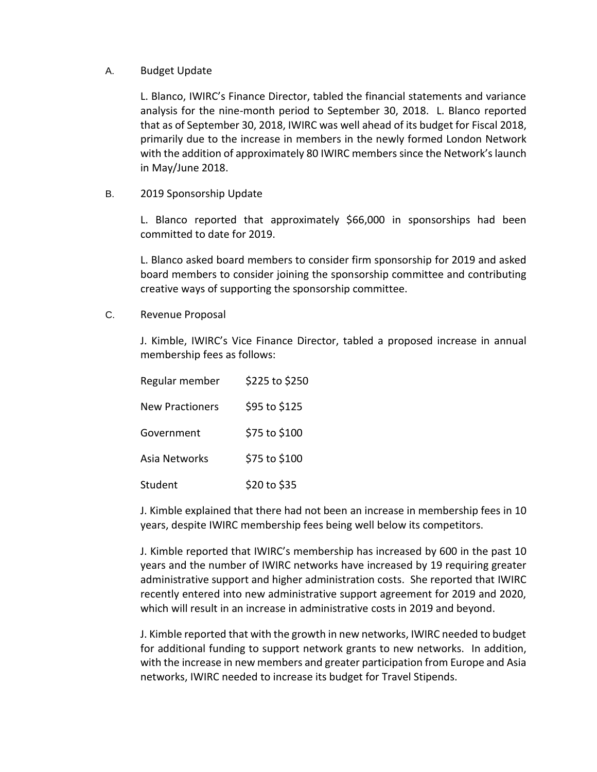#### A. Budget Update

L. Blanco, IWIRC's Finance Director, tabled the financial statements and variance analysis for the nine-month period to September 30, 2018. L. Blanco reported that as of September 30, 2018, IWIRC was well ahead of its budget for Fiscal 2018, primarily due to the increase in members in the newly formed London Network with the addition of approximately 80 IWIRC members since the Network's launch in May/June 2018.

B. 2019 Sponsorship Update

L. Blanco reported that approximately \$66,000 in sponsorships had been committed to date for 2019.

L. Blanco asked board members to consider firm sponsorship for 2019 and asked board members to consider joining the sponsorship committee and contributing creative ways of supporting the sponsorship committee.

C. Revenue Proposal

J. Kimble, IWIRC's Vice Finance Director, tabled a proposed increase in annual membership fees as follows:

| Regular member         | \$225 to \$250 |
|------------------------|----------------|
| <b>New Practioners</b> | \$95 to \$125  |
| Government             | \$75 to \$100  |
| Asia Networks          | \$75 to \$100  |
| Student                | \$20 to \$35   |

J. Kimble explained that there had not been an increase in membership fees in 10 years, despite IWIRC membership fees being well below its competitors.

J. Kimble reported that IWIRC's membership has increased by 600 in the past 10 years and the number of IWIRC networks have increased by 19 requiring greater administrative support and higher administration costs. She reported that IWIRC recently entered into new administrative support agreement for 2019 and 2020, which will result in an increase in administrative costs in 2019 and beyond.

J. Kimble reported that with the growth in new networks, IWIRC needed to budget for additional funding to support network grants to new networks. In addition, with the increase in new members and greater participation from Europe and Asia networks, IWIRC needed to increase its budget for Travel Stipends.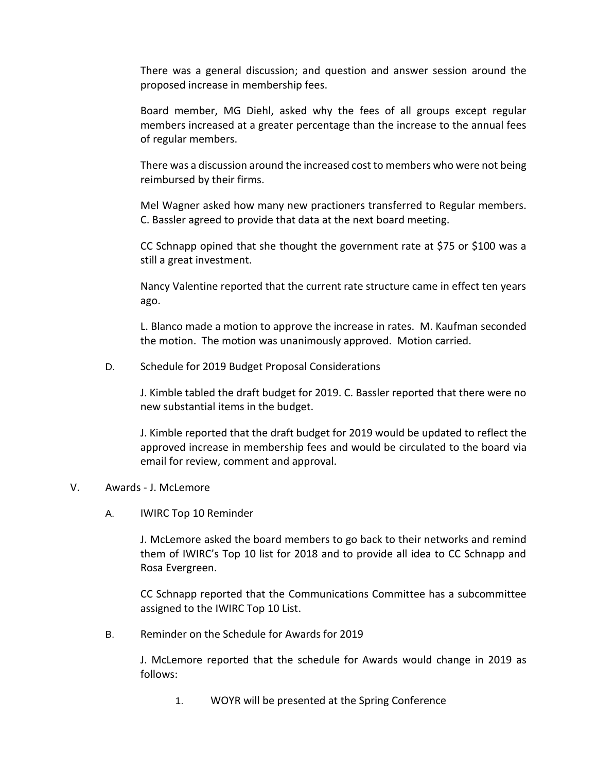There was a general discussion; and question and answer session around the proposed increase in membership fees.

Board member, MG Diehl, asked why the fees of all groups except regular members increased at a greater percentage than the increase to the annual fees of regular members.

There was a discussion around the increased cost to members who were not being reimbursed by their firms.

Mel Wagner asked how many new practioners transferred to Regular members. C. Bassler agreed to provide that data at the next board meeting.

CC Schnapp opined that she thought the government rate at \$75 or \$100 was a still a great investment.

Nancy Valentine reported that the current rate structure came in effect ten years ago.

L. Blanco made a motion to approve the increase in rates. M. Kaufman seconded the motion. The motion was unanimously approved. Motion carried.

D. Schedule for 2019 Budget Proposal Considerations

J. Kimble tabled the draft budget for 2019. C. Bassler reported that there were no new substantial items in the budget.

J. Kimble reported that the draft budget for 2019 would be updated to reflect the approved increase in membership fees and would be circulated to the board via email for review, comment and approval.

### V. Awards - J. McLemore

A. IWIRC Top 10 Reminder

J. McLemore asked the board members to go back to their networks and remind them of IWIRC's Top 10 list for 2018 and to provide all idea to CC Schnapp and Rosa Evergreen.

CC Schnapp reported that the Communications Committee has a subcommittee assigned to the IWIRC Top 10 List.

B. Reminder on the Schedule for Awards for 2019

J. McLemore reported that the schedule for Awards would change in 2019 as follows:

1. WOYR will be presented at the Spring Conference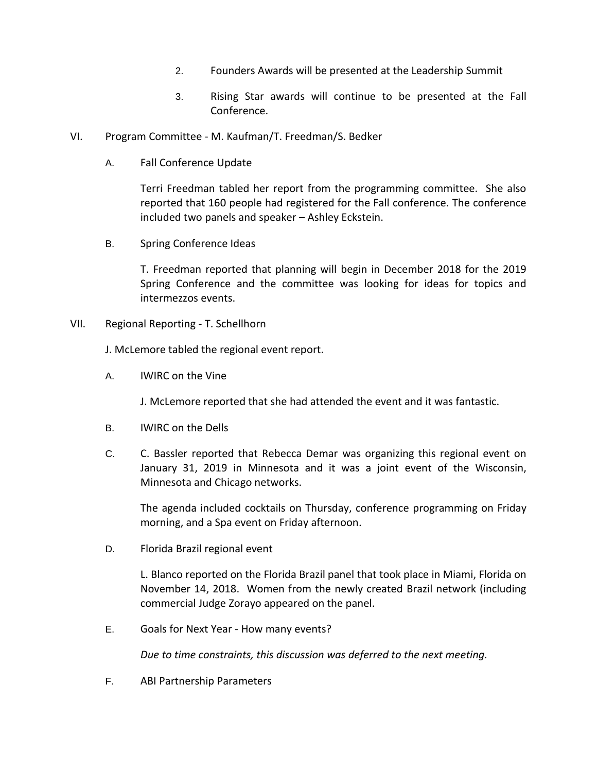- 2. Founders Awards will be presented at the Leadership Summit
- 3. Rising Star awards will continue to be presented at the Fall Conference.
- VI. Program Committee M. Kaufman/T. Freedman/S. Bedker
	- A. Fall Conference Update

Terri Freedman tabled her report from the programming committee. She also reported that 160 people had registered for the Fall conference. The conference included two panels and speaker – Ashley Eckstein.

B. Spring Conference Ideas

T. Freedman reported that planning will begin in December 2018 for the 2019 Spring Conference and the committee was looking for ideas for topics and intermezzos events.

VII. Regional Reporting - T. Schellhorn

J. McLemore tabled the regional event report.

A. IWIRC on the Vine

J. McLemore reported that she had attended the event and it was fantastic.

- B. IWIRC on the Dells
- C. C. Bassler reported that Rebecca Demar was organizing this regional event on January 31, 2019 in Minnesota and it was a joint event of the Wisconsin, Minnesota and Chicago networks.

The agenda included cocktails on Thursday, conference programming on Friday morning, and a Spa event on Friday afternoon.

D. Florida Brazil regional event

L. Blanco reported on the Florida Brazil panel that took place in Miami, Florida on November 14, 2018. Women from the newly created Brazil network (including commercial Judge Zorayo appeared on the panel.

E. Goals for Next Year - How many events?

*Due to time constraints, this discussion was deferred to the next meeting.*

F. ABI Partnership Parameters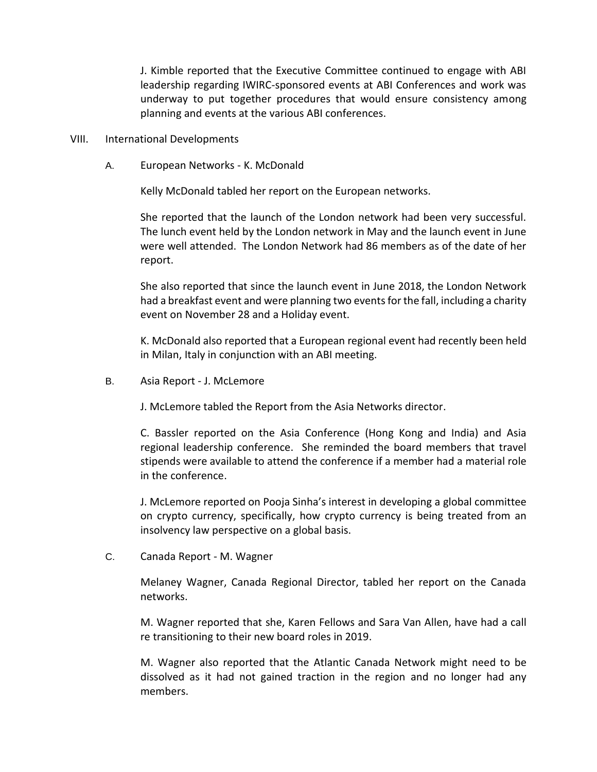J. Kimble reported that the Executive Committee continued to engage with ABI leadership regarding IWIRC-sponsored events at ABI Conferences and work was underway to put together procedures that would ensure consistency among planning and events at the various ABI conferences.

- VIII. International Developments
	- A. European Networks K. McDonald

Kelly McDonald tabled her report on the European networks.

She reported that the launch of the London network had been very successful. The lunch event held by the London network in May and the launch event in June were well attended. The London Network had 86 members as of the date of her report.

She also reported that since the launch event in June 2018, the London Network had a breakfast event and were planning two events for the fall, including a charity event on November 28 and a Holiday event.

K. McDonald also reported that a European regional event had recently been held in Milan, Italy in conjunction with an ABI meeting.

B. Asia Report - J. McLemore

J. McLemore tabled the Report from the Asia Networks director.

C. Bassler reported on the Asia Conference (Hong Kong and India) and Asia regional leadership conference. She reminded the board members that travel stipends were available to attend the conference if a member had a material role in the conference.

J. McLemore reported on Pooja Sinha's interest in developing a global committee on crypto currency, specifically, how crypto currency is being treated from an insolvency law perspective on a global basis.

C. Canada Report - M. Wagner

Melaney Wagner, Canada Regional Director, tabled her report on the Canada networks.

M. Wagner reported that she, Karen Fellows and Sara Van Allen, have had a call re transitioning to their new board roles in 2019.

M. Wagner also reported that the Atlantic Canada Network might need to be dissolved as it had not gained traction in the region and no longer had any members.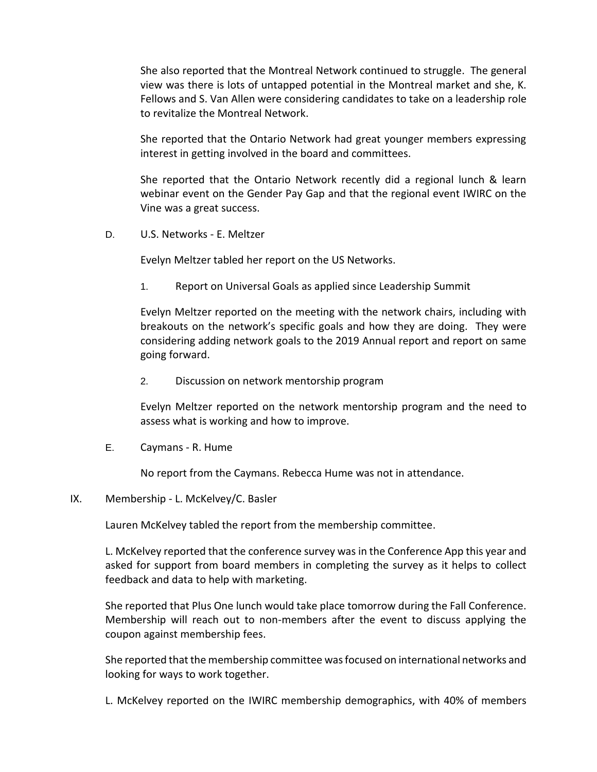She also reported that the Montreal Network continued to struggle. The general view was there is lots of untapped potential in the Montreal market and she, K. Fellows and S. Van Allen were considering candidates to take on a leadership role to revitalize the Montreal Network.

She reported that the Ontario Network had great younger members expressing interest in getting involved in the board and committees.

She reported that the Ontario Network recently did a regional lunch & learn webinar event on the Gender Pay Gap and that the regional event IWIRC on the Vine was a great success.

D. U.S. Networks - E. Meltzer

Evelyn Meltzer tabled her report on the US Networks.

1. Report on Universal Goals as applied since Leadership Summit

Evelyn Meltzer reported on the meeting with the network chairs, including with breakouts on the network's specific goals and how they are doing. They were considering adding network goals to the 2019 Annual report and report on same going forward.

2. Discussion on network mentorship program

Evelyn Meltzer reported on the network mentorship program and the need to assess what is working and how to improve.

E. Caymans - R. Hume

No report from the Caymans. Rebecca Hume was not in attendance.

IX. Membership - L. McKelvey/C. Basler

Lauren McKelvey tabled the report from the membership committee.

L. McKelvey reported that the conference survey was in the Conference App this year and asked for support from board members in completing the survey as it helps to collect feedback and data to help with marketing.

She reported that Plus One lunch would take place tomorrow during the Fall Conference. Membership will reach out to non-members after the event to discuss applying the coupon against membership fees.

She reported that the membership committee was focused on international networks and looking for ways to work together.

L. McKelvey reported on the IWIRC membership demographics, with 40% of members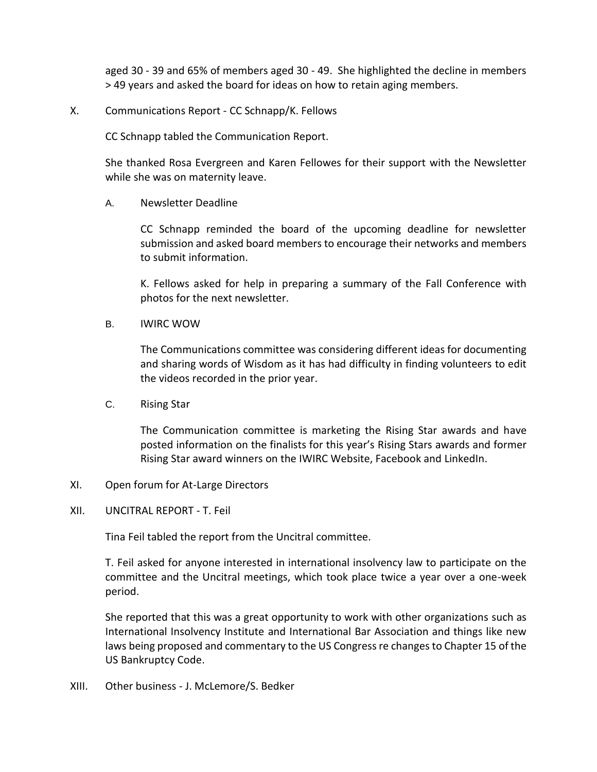aged 30 - 39 and 65% of members aged 30 - 49. She highlighted the decline in members > 49 years and asked the board for ideas on how to retain aging members.

### X. Communications Report - CC Schnapp/K. Fellows

CC Schnapp tabled the Communication Report.

She thanked Rosa Evergreen and Karen Fellowes for their support with the Newsletter while she was on maternity leave.

A. Newsletter Deadline

CC Schnapp reminded the board of the upcoming deadline for newsletter submission and asked board members to encourage their networks and members to submit information.

K. Fellows asked for help in preparing a summary of the Fall Conference with photos for the next newsletter.

B. IWIRC WOW

The Communications committee was considering different ideas for documenting and sharing words of Wisdom as it has had difficulty in finding volunteers to edit the videos recorded in the prior year.

C. Rising Star

The Communication committee is marketing the Rising Star awards and have posted information on the finalists for this year's Rising Stars awards and former Rising Star award winners on the IWIRC Website, Facebook and LinkedIn.

- XI. Open forum for At-Large Directors
- XII. UNCITRAL REPORT T. Feil

Tina Feil tabled the report from the Uncitral committee.

T. Feil asked for anyone interested in international insolvency law to participate on the committee and the Uncitral meetings, which took place twice a year over a one-week period.

She reported that this was a great opportunity to work with other organizations such as International Insolvency Institute and International Bar Association and things like new laws being proposed and commentary to the US Congress re changes to Chapter 15 of the US Bankruptcy Code.

XIII. Other business - J. McLemore/S. Bedker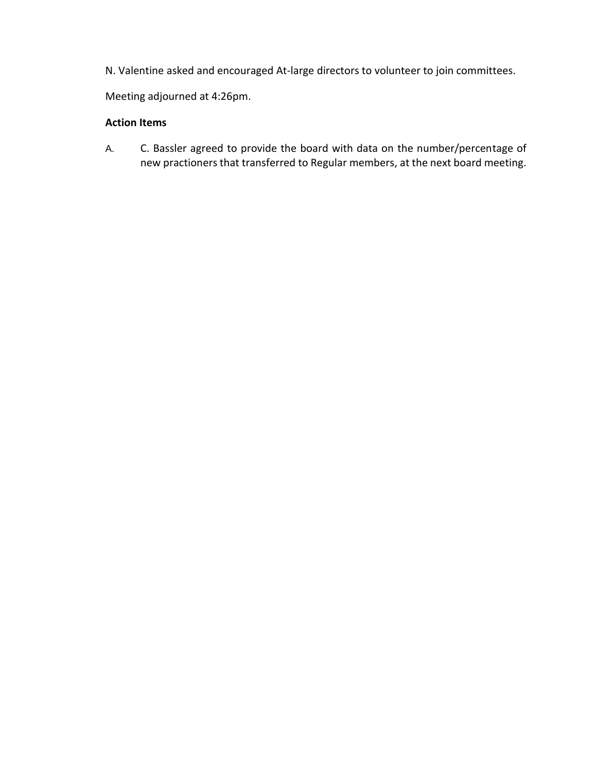N. Valentine asked and encouraged At-large directors to volunteer to join committees.

Meeting adjourned at 4:26pm.

# **Action Items**

A. C. Bassler agreed to provide the board with data on the number/percentage of new practioners that transferred to Regular members, at the next board meeting.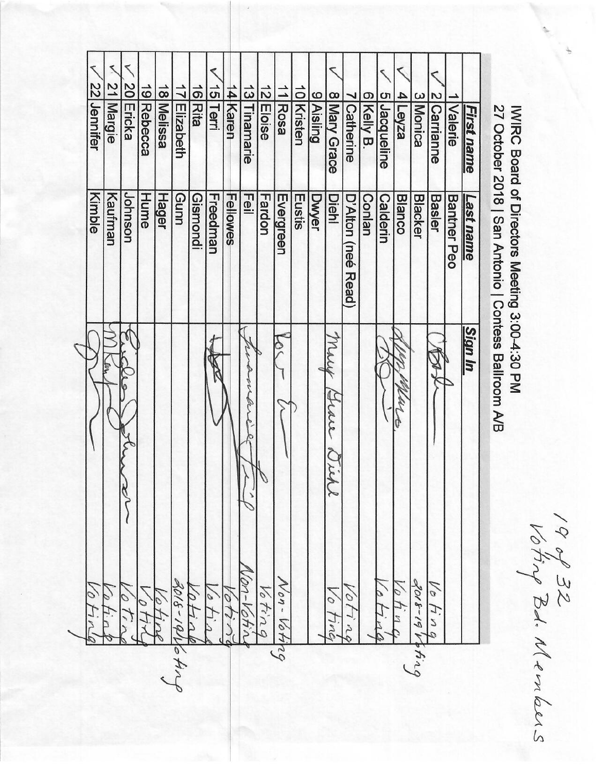₹ 20 Ericka 22 Jennifer 19 Rebecca 18 Melissa 13 Tinamarie 12<br>Eloise 15 Terri 14 Karen  $11$ Rosa 17 Elizabeth 16 Rita 10 Kristen 9 Aisling 8 Mary Grace 5 Jacqueline  $4$  $\left| \frac{\text{e}}{\text{e}}\right|$ 3 Monica 6 Kelly B. 2 Carrianne Margie Catherine Valerie **First name Hume Hager** Gunn Eustis Kimble Johnson  $\overline{\mathbb{P}}$ **Dwyer Diehl** Kaufman Gismondi Freedman Fardon Evergreen Fellowes D'Alton (neé Read) Calderin **Blanco Blacker Basler Bantner Peo** Last name Conlan **Sign In** Mirit  $\zeta$ Grare wh Von-Votin  $1, 61 - 8106$ Non-Voti  $3018 - 19$ Vofing 10 Vo fin 1040  $\degree$ Voting 10 tin  $\epsilon$ 01100 10 otin  $\overline{O}$ Fin ブラ  $h\overline{n}$  $\overline{\phantom{a}}$ TIMG  $64.10$ 29

27 October 2018 | San Antonio | Contess Ballroom A/B IWIRC Board of Directors Meeting 3:00-4:30 PM

19 of 32<br>Voting Bd. Menlous